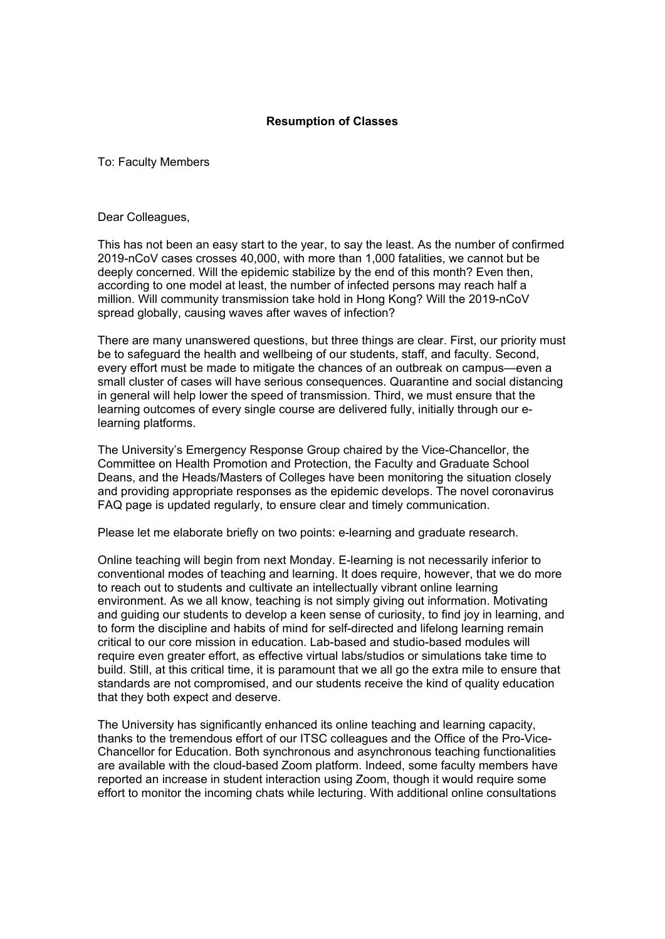## **Resumption of Classes**

To: Faculty Members

Dear Colleagues,

This has not been an easy start to the year, to say the least. As the number of confirmed 2019-nCoV cases crosses 40,000, with more than 1,000 fatalities, we cannot but be deeply concerned. Will the epidemic stabilize by the end of this month? Even then, according to one model at least, the number of infected persons may reach half a million. Will community transmission take hold in Hong Kong? Will the 2019-nCoV spread globally, causing waves after waves of infection?

There are many unanswered questions, but three things are clear. First, our priority must be to safeguard the health and wellbeing of our students, staff, and faculty. Second, every effort must be made to mitigate the chances of an outbreak on campus—even a small cluster of cases will have serious consequences. Quarantine and social distancing in general will help lower the speed of transmission. Third, we must ensure that the learning outcomes of every single course are delivered fully, initially through our elearning platforms.

The University's Emergency Response Group chaired by the Vice-Chancellor, the Committee on Health Promotion and Protection, the Faculty and Graduate School Deans, and the Heads/Masters of Colleges have been monitoring the situation closely and providing appropriate responses as the epidemic develops. The novel coronavirus FAQ page is updated regularly, to ensure clear and timely communication.

Please let me elaborate briefly on two points: e-learning and graduate research.

Online teaching will begin from next Monday. E-learning is not necessarily inferior to conventional modes of teaching and learning. It does require, however, that we do more to reach out to students and cultivate an intellectually vibrant online learning environment. As we all know, teaching is not simply giving out information. Motivating and guiding our students to develop a keen sense of curiosity, to find joy in learning, and to form the discipline and habits of mind for self-directed and lifelong learning remain critical to our core mission in education. Lab-based and studio-based modules will require even greater effort, as effective virtual labs/studios or simulations take time to build. Still, at this critical time, it is paramount that we all go the extra mile to ensure that standards are not compromised, and our students receive the kind of quality education that they both expect and deserve.

The University has significantly enhanced its online teaching and learning capacity, thanks to the tremendous effort of our ITSC colleagues and the Office of the Pro-Vice-Chancellor for Education. Both synchronous and asynchronous teaching functionalities are available with the cloud-based Zoom platform. Indeed, some faculty members have reported an increase in student interaction using Zoom, though it would require some effort to monitor the incoming chats while lecturing. With additional online consultations